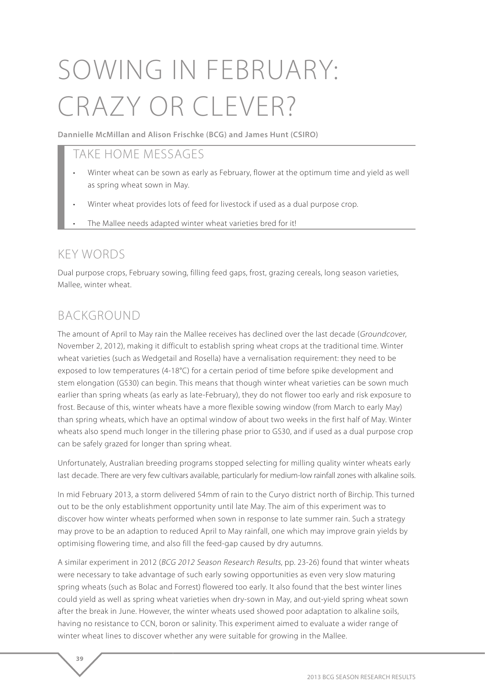# SOWING IN FEBRUARY: CRAZY OR CLEVER?

**Dannielle McMillan and Alison Frischke (BCG) and James Hunt (CSIRO)**

## TAKE HOME MESSAGES

- Winter wheat can be sown as early as February, flower at the optimum time and yield as well as spring wheat sown in May.
- Winter wheat provides lots of feed for livestock if used as a dual purpose crop.
- The Mallee needs adapted winter wheat varieties bred for it!

## KEY WORDS

Dual purpose crops, February sowing, filling feed gaps, frost, grazing cereals, long season varieties, Mallee, winter wheat.

## BACKGROUND

**39** 

The amount of April to May rain the Mallee receives has declined over the last decade (Groundcover, November 2, 2012), making it difficult to establish spring wheat crops at the traditional time. Winter wheat varieties (such as Wedgetail and Rosella) have a vernalisation requirement: they need to be exposed to low temperatures (4-18°C) for a certain period of time before spike development and stem elongation (GS30) can begin. This means that though winter wheat varieties can be sown much earlier than spring wheats (as early as late-February), they do not flower too early and risk exposure to frost. Because of this, winter wheats have a more flexible sowing window (from March to early May) than spring wheats, which have an optimal window of about two weeks in the first half of May. Winter wheats also spend much longer in the tillering phase prior to GS30, and if used as a dual purpose crop can be safely grazed for longer than spring wheat.

Unfortunately, Australian breeding programs stopped selecting for milling quality winter wheats early last decade. There are very few cultivars available, particularly for medium-low rainfall zones with alkaline soils.

In mid February 2013, a storm delivered 54mm of rain to the Curyo district north of Birchip. This turned out to be the only establishment opportunity until late May. The aim of this experiment was to discover how winter wheats performed when sown in response to late summer rain. Such a strategy may prove to be an adaption to reduced April to May rainfall, one which may improve grain yields by optimising flowering time, and also fill the feed-gap caused by dry autumns.

A similar experiment in 2012 (BCG 2012 Season Research Results, pp. 23-26) found that winter wheats were necessary to take advantage of such early sowing opportunities as even very slow maturing spring wheats (such as Bolac and Forrest) flowered too early. It also found that the best winter lines could yield as well as spring wheat varieties when dry-sown in May, and out-yield spring wheat sown after the break in June. However, the winter wheats used showed poor adaptation to alkaline soils, having no resistance to CCN, boron or salinity. This experiment aimed to evaluate a wider range of winter wheat lines to discover whether any were suitable for growing in the Mallee.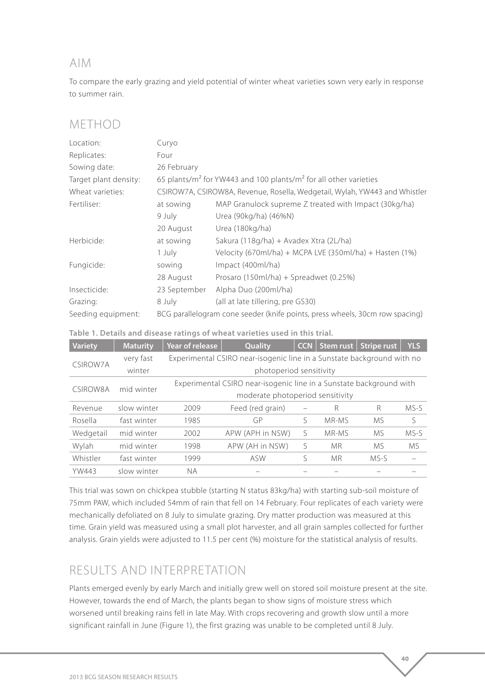### AIM

To compare the early grazing and yield potential of winter wheat varieties sown very early in response to summer rain.

## METHOD

| Location:             | Curyo                                                                        |                                                                                          |  |  |  |  |
|-----------------------|------------------------------------------------------------------------------|------------------------------------------------------------------------------------------|--|--|--|--|
| Replicates:           | Four                                                                         |                                                                                          |  |  |  |  |
| Sowing date:          | 26 February                                                                  |                                                                                          |  |  |  |  |
| Target plant density: |                                                                              | 65 plants/m <sup>2</sup> for YW443 and 100 plants/m <sup>2</sup> for all other varieties |  |  |  |  |
| Wheat varieties:      |                                                                              | CSIROW7A, CSIROW8A, Revenue, Rosella, Wedgetail, Wylah, YW443 and Whistler               |  |  |  |  |
| Fertiliser:           | at sowing                                                                    | MAP Granulock supreme Z treated with Impact (30kg/ha)                                    |  |  |  |  |
|                       | 9 July                                                                       | Urea (90kg/ha) (46%N)                                                                    |  |  |  |  |
|                       | 20 August                                                                    | Urea (180kg/ha)                                                                          |  |  |  |  |
| Herbicide:            | at sowing                                                                    | Sakura (118g/ha) + Avadex Xtra (2L/ha)                                                   |  |  |  |  |
|                       | 1 July                                                                       | Velocity (670ml/ha) + MCPA LVE (350ml/ha) + Hasten (1%)                                  |  |  |  |  |
| Fungicide:            | sowing                                                                       | Impact (400ml/ha)                                                                        |  |  |  |  |
|                       | 28 August                                                                    | Prosaro (150ml/ha) + Spreadwet (0.25%)                                                   |  |  |  |  |
| Insecticide:          | 23 September                                                                 | Alpha Duo (200ml/ha)                                                                     |  |  |  |  |
| Grazing:              | 8 July                                                                       | (all at late tillering, pre GS30)                                                        |  |  |  |  |
| Seeding equipment:    | BCG parallelogram cone seeder (knife points, press wheels, 30cm row spacing) |                                                                                          |  |  |  |  |

#### **Table 1. Details and disease ratings of wheat varieties used in this trial.**

| <b>Variety</b> | <b>Maturity</b> | Year of release                                                        | Quality          | <b>CCN</b> | Stem rust | <b>Stripe rust</b> | <b>YLS</b> |  |  |
|----------------|-----------------|------------------------------------------------------------------------|------------------|------------|-----------|--------------------|------------|--|--|
| CSIROW7A       | very fast       | Experimental CSIRO near-isogenic line in a Sunstate background with no |                  |            |           |                    |            |  |  |
|                | winter          | photoperiod sensitivity                                                |                  |            |           |                    |            |  |  |
| C.SIROW8A      | mid winter      | Experimental CSIRO near-isogenic line in a Sunstate background with    |                  |            |           |                    |            |  |  |
|                |                 | moderate photoperiod sensitivity                                       |                  |            |           |                    |            |  |  |
| Revenue        | slow winter     | 2009                                                                   | Feed (red grain) |            | R         | R                  | MS-S       |  |  |
| Rosella        | fast winter     | 1985                                                                   | GP               | ς          | MR-MS     | M <sub>S</sub>     | S          |  |  |
| Wedgetail      | mid winter      | 2002                                                                   | APW (APH in NSW) | S          | MR-MS     | <b>MS</b>          | MS-S       |  |  |
| Wylah          | mid winter      | 1998                                                                   | APW (AH in NSW)  | S          | <b>MR</b> | M.S                | <b>MS</b>  |  |  |
| Whistler       | fast winter     | 1999                                                                   | <b>ASW</b>       | ς          | <b>MR</b> | MS-S               |            |  |  |
| <b>YW443</b>   | slow winter     | NА                                                                     |                  |            |           |                    |            |  |  |

This trial was sown on chickpea stubble (starting N status 83kg/ha) with starting sub-soil moisture of 75mm PAW, which included 54mm of rain that fell on 14 February. Four replicates of each variety were mechanically defoliated on 8 July to simulate grazing. Dry matter production was measured at this time. Grain yield was measured using a small plot harvester, and all grain samples collected for further analysis. Grain yields were adjusted to 11.5 per cent (%) moisture for the statistical analysis of results.

## RESULTS AND INTERPRETATION

Plants emerged evenly by early March and initially grew well on stored soil moisture present at the site. However, towards the end of March, the plants began to show signs of moisture stress which worsened until breaking rains fell in late May. With crops recovering and growth slow until a more significant rainfall in June (Figure 1), the first grazing was unable to be completed until 8 July.

**40**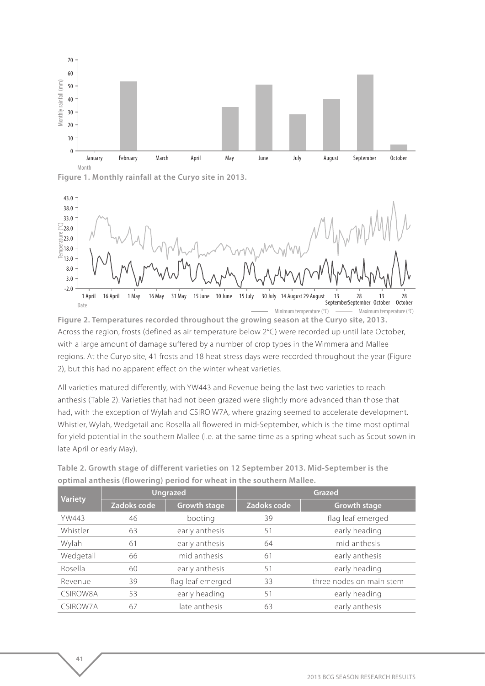

**Figure 1. Monthly rainfall at the Curyo site in 2013.**

**41** 



**Figure 2. Temperatures recorded throughout the growing season at the Curyo site, 2013.** Across the region, frosts (defined as air temperature below 2°C) were recorded up until late October, with a large amount of damage suffered by a number of crop types in the Wimmera and Mallee regions. At the Curyo site, 41 frosts and 18 heat stress days were recorded throughout the year (Figure 2), but this had no apparent effect on the winter wheat varieties.

All varieties matured differently, with YW443 and Revenue being the last two varieties to reach anthesis (Table 2). Varieties that had not been grazed were slightly more advanced than those that had, with the exception of Wylah and CSIRO W7A, where grazing seemed to accelerate development. Whistler, Wylah, Wedgetail and Rosella all flowered in mid-September, which is the time most optimal for yield potential in the southern Mallee (i.e. at the same time as a spring wheat such as Scout sown in late April or early May).

| <b>Variety</b>  | <b>Ungrazed</b> |                     | <b>Grazed</b> |                          |  |
|-----------------|-----------------|---------------------|---------------|--------------------------|--|
|                 | Zadoks code     | <b>Growth stage</b> | Zadoks code   | <b>Growth stage</b>      |  |
| <b>YW443</b>    | 46              | booting             | 39            | flag leaf emerged        |  |
| Whistler        | 63              | early anthesis      | 51            | early heading            |  |
| Wylah           | 61              | early anthesis      | 64            | mid anthesis             |  |
| Wedgetail       | 66              | mid anthesis        | 61            | early anthesis           |  |
| Rosella         | 60              | early anthesis      | 51            | early heading            |  |
| Revenue         | 39              | flag leaf emerged   | 33            | three nodes on main stem |  |
| <b>CSIROW8A</b> | 53              | early heading       | 51            | early heading            |  |
| CSIROW7A        | 67              | late anthesis       | 63            | early anthesis           |  |

**Table 2. Growth stage of different varieties on 12 September 2013. Mid-September is the optimal anthesis (flowering) period for wheat in the southern Mallee.**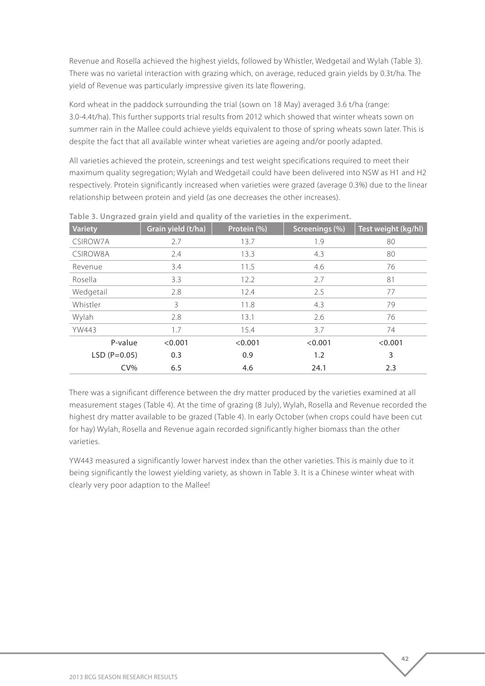Revenue and Rosella achieved the highest yields, followed by Whistler, Wedgetail and Wylah (Table 3). There was no varietal interaction with grazing which, on average, reduced grain yields by 0.3t/ha. The yield of Revenue was particularly impressive given its late flowering.

Kord wheat in the paddock surrounding the trial (sown on 18 May) averaged 3.6 t/ha (range: 3.0-4.4t/ha). This further supports trial results from 2012 which showed that winter wheats sown on summer rain in the Mallee could achieve yields equivalent to those of spring wheats sown later. This is despite the fact that all available winter wheat varieties are ageing and/or poorly adapted.

All varieties achieved the protein, screenings and test weight specifications required to meet their maximum quality segregation; Wylah and Wedgetail could have been delivered into NSW as H1 and H2 respectively. Protein significantly increased when varieties were grazed (average 0.3%) due to the linear relationship between protein and yield (as one decreases the other increases).

| <b>Variety</b> | Grain yield (t/ha) | Protein (%) | Screenings (%) | Test weight (kg/hl) |
|----------------|--------------------|-------------|----------------|---------------------|
| CSIROW7A       | 2.7                | 13.7        | 1.9            | 80                  |
| CSIROW8A       | 2.4                | 13.3        | 4.3            | 80                  |
| Revenue        | 3.4                | 11.5        | 4.6            | 76                  |
| Rosella        | 3.3                | 12.2        | 2.7            | 81                  |
| Wedgetail      | 2.8                | 12.4        | 2.5            | 77                  |
| Whistler       | 3                  | 11.8        | 4.3            | 79                  |
| Wylah          | 2.8                | 13.1        | 2.6            | 76                  |
| <b>YW443</b>   | 1.7                | 15.4        | 3.7            | 74                  |
| P-value        | < 0.001            | < 0.001     | < 0.001        | < 0.001             |
| $LSD (P=0.05)$ | 0.3                | 0.9         | 1.2            | 3                   |
| $CV\%$         | 6.5                | 4.6         | 24.1           | 2.3                 |

**Table 3. Ungrazed grain yield and quality of the varieties in the experiment.**

There was a significant difference between the dry matter produced by the varieties examined at all measurement stages (Table 4). At the time of grazing (8 July), Wylah, Rosella and Revenue recorded the highest dry matter available to be grazed (Table 4). In early October (when crops could have been cut for hay) Wylah, Rosella and Revenue again recorded significantly higher biomass than the other varieties.

YW443 measured a significantly lower harvest index than the other varieties. This is mainly due to it being significantly the lowest yielding variety, as shown in Table 3. It is a Chinese winter wheat with clearly very poor adaption to the Mallee!

**42**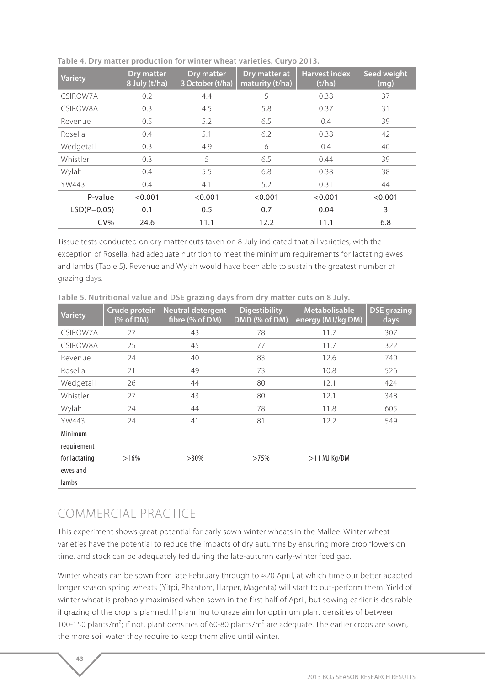| <b>Variety</b> | <b>Dry matter</b><br>8 July (t/ha) | <b>Dry matter</b><br>3 October (t/ha) | Dry matter at<br>maturity (t/ha) | <b>Harvest index</b><br>(t/ha) | Seed weight<br>(mg) |
|----------------|------------------------------------|---------------------------------------|----------------------------------|--------------------------------|---------------------|
| CSIROW7A       | 0.2                                | 4.4                                   | 5                                | 0.38                           | 37                  |
| CSIROW8A       | 0.3                                | 4.5                                   | 5.8                              | 0.37                           | 31                  |
| Revenue        | 0.5                                | 5.2                                   | 6.5                              | 0.4                            | 39                  |
| <b>Rosella</b> | 0.4                                | 5.1                                   | 6.2                              | 0.38                           | 42                  |
| Wedgetail      | 0.3                                | 4.9                                   | 6                                | 0.4                            | 40                  |
| Whistler       | 0.3                                | 5                                     | 6.5                              | 0.44                           | 39                  |
| Wylah          | 0.4                                | 5.5                                   | 6.8                              | 0.38                           | 38                  |
| <b>YW443</b>   | 0.4                                | 4.1                                   | 5.2                              | 0.31                           | 44                  |
| P-value        | < 0.001                            | < 0.001                               | < 0.001                          | < 0.001                        | < 0.001             |
| $LSD(P=0.05)$  | 0.1                                | 0.5                                   | 0.7                              | 0.04                           | 3                   |
| $CV\%$         | 24.6                               | 11.1                                  | 12.2                             | 11.1                           | 6.8                 |

**Table 4. Dry matter production for winter wheat varieties, Curyo 2013.**

Tissue tests conducted on dry matter cuts taken on 8 July indicated that all varieties, with the exception of Rosella, had adequate nutrition to meet the minimum requirements for lactating ewes and lambs (Table 5). Revenue and Wylah would have been able to sustain the greatest number of grazing days.

| <b>Variety</b>                     | <b>Crude protein</b><br>$(% \mathcal{L}_{0})$ of DM) | <b>Neutral detergent</b><br>fibre (% of DM) | <b>Digestibility</b><br>DMD (% of DM) | <b>Metabolisable</b><br>energy (MJ/kg DM) | <b>DSE</b> grazing<br>days |
|------------------------------------|------------------------------------------------------|---------------------------------------------|---------------------------------------|-------------------------------------------|----------------------------|
| CSIROW7A                           | 27                                                   | 43                                          | 78                                    | 11.7                                      | 307                        |
| CSIROW8A                           | 25                                                   | 45                                          | 77                                    | 11.7                                      | 322                        |
| Revenue                            | 24                                                   | 40                                          | 83                                    | 12.6                                      | 740                        |
| Rosella                            | 21                                                   | 49                                          | 73                                    | 10.8                                      | 526                        |
| Wedgetail                          | 26                                                   | 44                                          | 80                                    | 12.1                                      | 424                        |
| Whistler                           | 27                                                   | 43                                          | 80                                    | 12.1                                      | 348                        |
| Wylah                              | 24                                                   | 44                                          | 78                                    | 11.8                                      | 605                        |
| <b>YW443</b>                       | 24                                                   | 41                                          | 81                                    | 12.2                                      | 549                        |
| Minimum<br>requirement             |                                                      |                                             |                                       |                                           |                            |
| for lactating<br>ewes and<br>lambs | $>16\%$                                              | $>30\%$                                     | >75%                                  | $>11$ MJ Kg/DM                            |                            |

**Table 5. Nutritional value and DSE grazing days from dry matter cuts on 8 July.** 

## COMMERCIAL PRACTICE

**43** 

This experiment shows great potential for early sown winter wheats in the Mallee. Winter wheat varieties have the potential to reduce the impacts of dry autumns by ensuring more crop flowers on time, and stock can be adequately fed during the late-autumn early-winter feed gap.

Winter wheats can be sown from late February through to ≈20 April, at which time our better adapted longer season spring wheats (Yitpi, Phantom, Harper, Magenta) will start to out-perform them. Yield of winter wheat is probably maximised when sown in the first half of April, but sowing earlier is desirable if grazing of the crop is planned. If planning to graze aim for optimum plant densities of between 100-150 plants/m<sup>2</sup>; if not, plant densities of 60-80 plants/m<sup>2</sup> are adequate. The earlier crops are sown, the more soil water they require to keep them alive until winter.